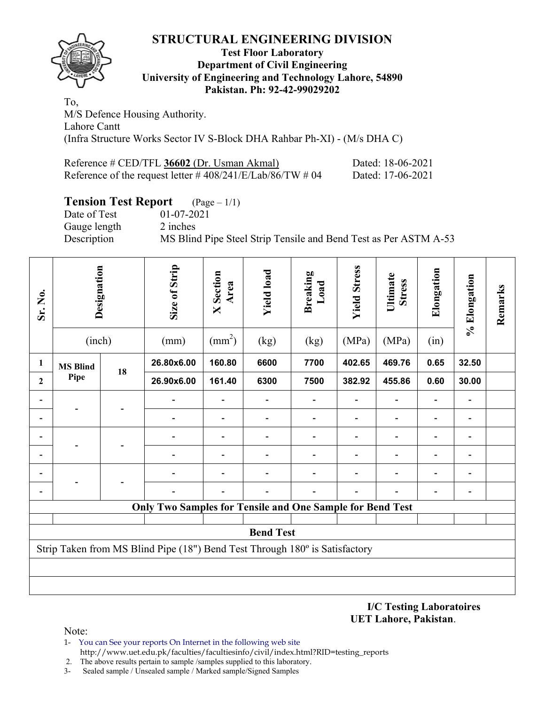

#### **Test Floor Laboratory Department of Civil Engineering University of Engineering and Technology Lahore, 54890 Pakistan. Ph: 92-42-99029202**

To, M/S Defence Housing Authority. Lahore Cantt (Infra Structure Works Sector IV S-Block DHA Rahbar Ph-XI) - (M/s DHA C)

| Reference # CED/TFL 36602 (Dr. Usman Akmal)              | Dated: 18-06-2021 |
|----------------------------------------------------------|-------------------|
| Reference of the request letter #408/241/E/Lab/86/TW #04 | Dated: 17-06-2021 |

# **Tension Test Report** (Page – 1/1)

Date of Test 01-07-2021 Gauge length 2 inches

Description MS Blind Pipe Steel Strip Tensile and Bend Test as Per ASTM A-53

| Sr. No.        | Designation<br>(inch) |    | Size of Strip<br>(mm)                                                       | <b>X</b> Section<br>Area<br>$\text{(mm}^2)$ | <b>Yield load</b><br>(kg) | <b>Breaking</b><br>Load<br>(kg) | <b>Yield Stress</b><br>(MPa) | Ultimate<br><b>Stress</b><br>(MPa) | Elongation<br>(in) | % Elongation | Remarks |
|----------------|-----------------------|----|-----------------------------------------------------------------------------|---------------------------------------------|---------------------------|---------------------------------|------------------------------|------------------------------------|--------------------|--------------|---------|
| 1              | <b>MS Blind</b>       |    | 26.80x6.00                                                                  | 160.80                                      | 6600                      | 7700                            | 402.65                       | 469.76                             | 0.65               | 32.50        |         |
| $\overline{2}$ | Pipe                  | 18 | 26.90x6.00                                                                  | 161.40                                      | 6300                      | 7500                            | 382.92                       | 455.86                             | 0.60               | 30.00        |         |
|                |                       |    |                                                                             |                                             |                           |                                 | $\overline{a}$               | $\overline{\phantom{a}}$           |                    |              |         |
|                |                       |    |                                                                             |                                             |                           |                                 |                              |                                    |                    |              |         |
|                |                       |    |                                                                             |                                             |                           |                                 |                              |                                    |                    |              |         |
|                |                       |    |                                                                             |                                             |                           |                                 |                              |                                    |                    |              |         |
|                |                       |    |                                                                             |                                             |                           |                                 |                              |                                    |                    |              |         |
|                |                       |    |                                                                             |                                             |                           |                                 |                              |                                    |                    |              |         |
|                |                       |    | <b>Only Two Samples for Tensile and One Sample for Bend Test</b>            |                                             |                           |                                 |                              |                                    |                    |              |         |
|                |                       |    |                                                                             |                                             | <b>Bend Test</b>          |                                 |                              |                                    |                    |              |         |
|                |                       |    | Strip Taken from MS Blind Pipe (18") Bend Test Through 180° is Satisfactory |                                             |                           |                                 |                              |                                    |                    |              |         |
|                |                       |    |                                                                             |                                             |                           |                                 |                              |                                    |                    |              |         |
|                |                       |    |                                                                             |                                             |                           |                                 |                              |                                    |                    |              |         |

**I/C Testing Laboratoires UET Lahore, Pakistan**.

Note:

- 1- You can See your reports On Internet in the following web site http://www.uet.edu.pk/faculties/facultiesinfo/civil/index.html?RID=testing\_reports
- 2. The above results pertain to sample /samples supplied to this laboratory.
- 3- Sealed sample / Unsealed sample / Marked sample/Signed Samples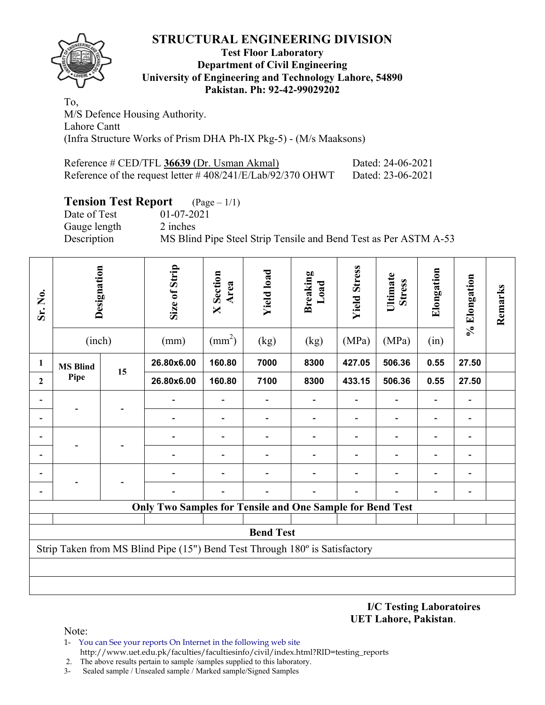

### **Test Floor Laboratory Department of Civil Engineering University of Engineering and Technology Lahore, 54890 Pakistan. Ph: 92-42-99029202**

To, M/S Defence Housing Authority. Lahore Cantt (Infra Structure Works of Prism DHA Ph-IX Pkg-5) - (M/s Maaksons)

| Reference # CED/TFL 36639 (Dr. Usman Akmal)                    | Dated: 24-06-2021 |
|----------------------------------------------------------------|-------------------|
| Reference of the request letter $\# 408/241/E/Lab/92/370$ OHWT | Dated: 23-06-2021 |

# **Tension Test Report** (Page – 1/1)

Date of Test 01-07-2021 Gauge length 2 inches

Description MS Blind Pipe Steel Strip Tensile and Bend Test as Per ASTM A-53

| Sr. No.        | Designation     |    |                                                                             |                 | Size of Strip    | Section<br>Area<br>$\mathsf{X}$ | <b>Yield load</b> | Breaking<br>Load | <b>Yield Stress</b> | Ultimate<br><b>Stress</b> | Elongation | % Elongation | Remarks |
|----------------|-----------------|----|-----------------------------------------------------------------------------|-----------------|------------------|---------------------------------|-------------------|------------------|---------------------|---------------------------|------------|--------------|---------|
|                | (inch)          |    | (mm)                                                                        | $\text{(mm}^2)$ | (kg)             | (kg)                            | (MPa)             | (MPa)            | (in)                |                           |            |              |         |
| $\mathbf{1}$   | <b>MS Blind</b> | 15 | 26.80x6.00                                                                  | 160.80          | 7000             | 8300                            | 427.05            | 506.36           | 0.55                | 27.50                     |            |              |         |
| $\overline{2}$ | Pipe            |    | 26.80x6.00                                                                  | 160.80          | 7100             | 8300                            | 433.15            | 506.36           | 0.55                | 27.50                     |            |              |         |
|                |                 |    |                                                                             |                 |                  |                                 |                   |                  |                     |                           |            |              |         |
|                |                 |    |                                                                             |                 |                  |                                 |                   |                  |                     |                           |            |              |         |
|                |                 |    |                                                                             |                 |                  |                                 |                   |                  |                     |                           |            |              |         |
|                |                 |    |                                                                             |                 |                  |                                 |                   |                  |                     |                           |            |              |         |
|                |                 |    |                                                                             |                 |                  |                                 |                   |                  |                     |                           |            |              |         |
|                |                 |    |                                                                             |                 |                  |                                 |                   |                  |                     |                           |            |              |         |
|                |                 |    | <b>Only Two Samples for Tensile and One Sample for Bend Test</b>            |                 |                  |                                 |                   |                  |                     |                           |            |              |         |
|                |                 |    |                                                                             |                 |                  |                                 |                   |                  |                     |                           |            |              |         |
|                |                 |    |                                                                             |                 | <b>Bend Test</b> |                                 |                   |                  |                     |                           |            |              |         |
|                |                 |    | Strip Taken from MS Blind Pipe (15") Bend Test Through 180° is Satisfactory |                 |                  |                                 |                   |                  |                     |                           |            |              |         |
|                |                 |    |                                                                             |                 |                  |                                 |                   |                  |                     |                           |            |              |         |
|                |                 |    |                                                                             |                 |                  |                                 |                   |                  |                     |                           |            |              |         |

**I/C Testing Laboratoires UET Lahore, Pakistan**.

Note:

- 1- You can See your reports On Internet in the following web site http://www.uet.edu.pk/faculties/facultiesinfo/civil/index.html?RID=testing\_reports
- 2. The above results pertain to sample /samples supplied to this laboratory.
- 3- Sealed sample / Unsealed sample / Marked sample/Signed Samples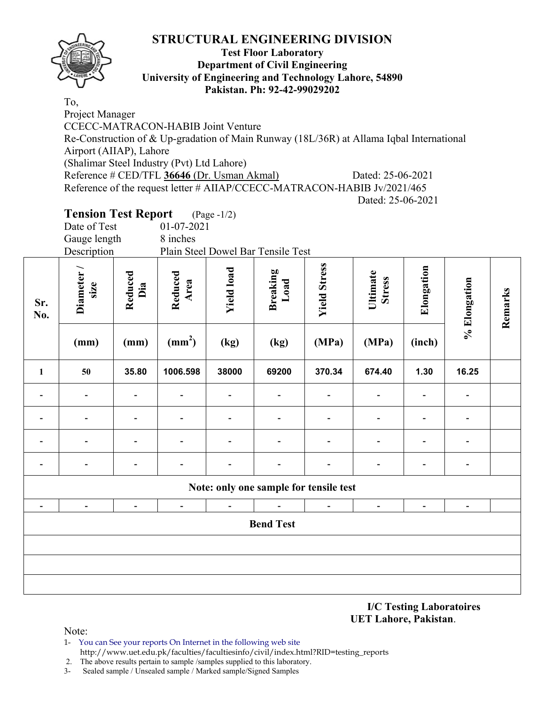

### **Test Floor Laboratory Department of Civil Engineering University of Engineering and Technology Lahore, 54890 Pakistan. Ph: 92-42-99029202**

To, Project Manager CCECC-MATRACON-HABIB Joint Venture Re-Construction of & Up-gradation of Main Runway (18L/36R) at Allama Iqbal International Airport (AIIAP), Lahore (Shalimar Steel Industry (Pvt) Ltd Lahore) Reference # CED/TFL **36646** (Dr. Usman Akmal) Dated: 25-06-2021 Reference of the request letter # AIIAP/CCECC-MATRACON-HABIB Jv/2021/465 Dated: 25-06-2021

# **Tension Test Report** (Page -1/2)

| Date of Test | $01-07-2021$                       |
|--------------|------------------------------------|
| Gauge length | 8 inches                           |
| Description  | Plain Steel Dowel Bar Tensile Test |

| Sr.<br>No.                   | Diameter /<br>size       | Reduced<br>Dia               | Reduced<br>Area          | <b>Yield load</b>            | <b>Breaking</b><br>Load                | <b>Yield Stress</b>      | Ultimate<br><b>Stress</b>    | Elongation     | % Elongation             | Remarks |
|------------------------------|--------------------------|------------------------------|--------------------------|------------------------------|----------------------------------------|--------------------------|------------------------------|----------------|--------------------------|---------|
|                              | (mm)                     | (mm)                         | $\text{(mm}^2)$          | (kg)                         | (kg)                                   | (MPa)                    | (MPa)                        | (inch)         |                          |         |
| 1                            | 50                       | 35.80                        | 1006.598                 | 38000                        | 69200                                  | 370.34                   | 674.40                       | 1.30           | 16.25                    |         |
| $\overline{\phantom{a}}$     | $\overline{\phantom{0}}$ | $\qquad \qquad \blacksquare$ | -                        | $\overline{\phantom{0}}$     | $\blacksquare$                         |                          | $\qquad \qquad \blacksquare$ |                | $\overline{\phantom{a}}$ |         |
| $\overline{a}$               |                          | $\qquad \qquad \blacksquare$ |                          | $\overline{\phantom{0}}$     | $\overline{\phantom{a}}$               |                          | $\qquad \qquad \blacksquare$ |                | $\overline{\phantom{a}}$ |         |
| $\qquad \qquad \blacksquare$ | $\overline{\phantom{0}}$ | $\qquad \qquad \blacksquare$ | $\overline{\phantom{0}}$ | $\qquad \qquad \blacksquare$ | $\overline{\phantom{a}}$               | $\overline{\phantom{0}}$ | $\qquad \qquad \blacksquare$ |                | $\overline{\phantom{a}}$ |         |
|                              |                          | $\overline{\phantom{0}}$     | $\overline{a}$           | $\overline{\phantom{0}}$     | $\qquad \qquad \blacksquare$           |                          | -                            |                | $\overline{\phantom{a}}$ |         |
|                              |                          |                              |                          |                              | Note: only one sample for tensile test |                          |                              |                |                          |         |
| $\blacksquare$               | $\overline{\phantom{a}}$ | $\blacksquare$               | $\blacksquare$           | $\blacksquare$               |                                        | $\blacksquare$           | $\blacksquare$               | $\blacksquare$ | $\blacksquare$           |         |
|                              |                          |                              |                          |                              | <b>Bend Test</b>                       |                          |                              |                |                          |         |
|                              |                          |                              |                          |                              |                                        |                          |                              |                |                          |         |
|                              |                          |                              |                          |                              |                                        |                          |                              |                |                          |         |
|                              |                          |                              |                          |                              |                                        |                          |                              |                |                          |         |

**I/C Testing Laboratoires UET Lahore, Pakistan**.

Note:

1- You can See your reports On Internet in the following web site http://www.uet.edu.pk/faculties/facultiesinfo/civil/index.html?RID=testing\_reports

2. The above results pertain to sample /samples supplied to this laboratory.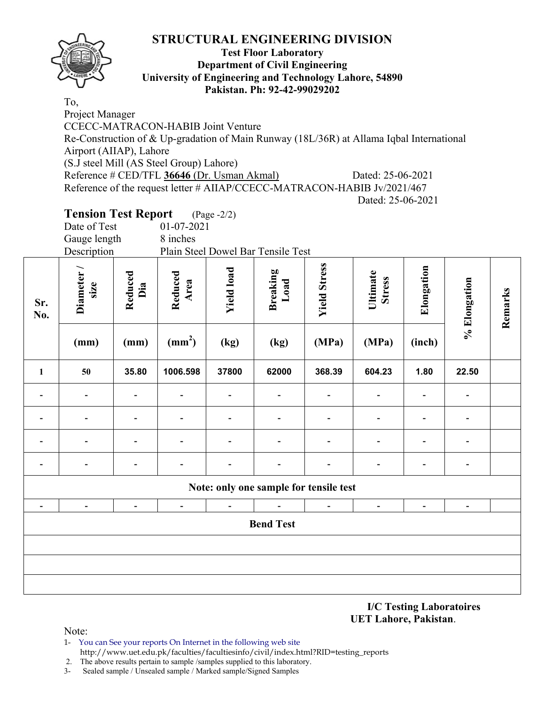

### **Test Floor Laboratory Department of Civil Engineering University of Engineering and Technology Lahore, 54890 Pakistan. Ph: 92-42-99029202**

To, Project Manager CCECC-MATRACON-HABIB Joint Venture Re-Construction of & Up-gradation of Main Runway (18L/36R) at Allama Iqbal International Airport (AIIAP), Lahore (S.J steel Mill (AS Steel Group) Lahore) Reference # CED/TFL **36646** (Dr. Usman Akmal) Dated: 25-06-2021 Reference of the request letter # AIIAP/CCECC-MATRACON-HABIB Jv/2021/467 Dated: 25-06-2021

# **Tension Test Report** (Page -2/2)

| Date of Test | $01-07-2021$                       |
|--------------|------------------------------------|
| Gauge length | 8 inches                           |
| Description  | Plain Steel Dowel Bar Tensile Test |

| Sr.<br>No.               | Diameter /<br>size       | Reduced<br>Dia               | Reduced<br>Area | <b>Yield load</b>            | Breaking<br>Load                       | <b>Yield Stress</b> | Ultimate<br><b>Stress</b>    | Elongation     | % Elongation             | Remarks |
|--------------------------|--------------------------|------------------------------|-----------------|------------------------------|----------------------------------------|---------------------|------------------------------|----------------|--------------------------|---------|
|                          | (mm)                     | (mm)                         | $\text{(mm}^2)$ | (kg)                         | (kg)                                   | (MPa)               | (MPa)                        | (inch)         |                          |         |
| $\mathbf{1}$             | 50                       | 35.80                        | 1006.598        | 37800                        | 62000                                  | 368.39              | 604.23                       | 1.80           | 22.50                    |         |
|                          |                          | $\qquad \qquad \blacksquare$ |                 | $\overline{\phantom{0}}$     | $\blacksquare$                         |                     | $\qquad \qquad \blacksquare$ |                | $\overline{\phantom{a}}$ |         |
| $\overline{\phantom{0}}$ |                          | $\qquad \qquad \blacksquare$ |                 | $\qquad \qquad \blacksquare$ | $\blacksquare$                         |                     | $\qquad \qquad \blacksquare$ |                |                          |         |
|                          |                          | $\qquad \qquad \blacksquare$ |                 | $\overline{\phantom{0}}$     | $\qquad \qquad \blacksquare$           |                     | $\qquad \qquad \blacksquare$ |                | $\overline{a}$           |         |
|                          |                          | $\overline{\phantom{0}}$     |                 | $\overline{\phantom{0}}$     | $\blacksquare$                         |                     | -                            |                | $\overline{\phantom{a}}$ |         |
|                          |                          |                              |                 |                              | Note: only one sample for tensile test |                     |                              |                |                          |         |
| $\overline{\phantom{a}}$ | $\overline{\phantom{a}}$ | $\blacksquare$               | $\blacksquare$  |                              | $\overline{a}$                         |                     | $\qquad \qquad \blacksquare$ | $\blacksquare$ | $\overline{\phantom{0}}$ |         |
|                          |                          |                              |                 |                              | <b>Bend Test</b>                       |                     |                              |                |                          |         |
|                          |                          |                              |                 |                              |                                        |                     |                              |                |                          |         |
|                          |                          |                              |                 |                              |                                        |                     |                              |                |                          |         |
|                          |                          |                              |                 |                              |                                        |                     |                              |                |                          |         |

**I/C Testing Laboratoires UET Lahore, Pakistan**.

Note:

1- You can See your reports On Internet in the following web site http://www.uet.edu.pk/faculties/facultiesinfo/civil/index.html?RID=testing\_reports

2. The above results pertain to sample /samples supplied to this laboratory.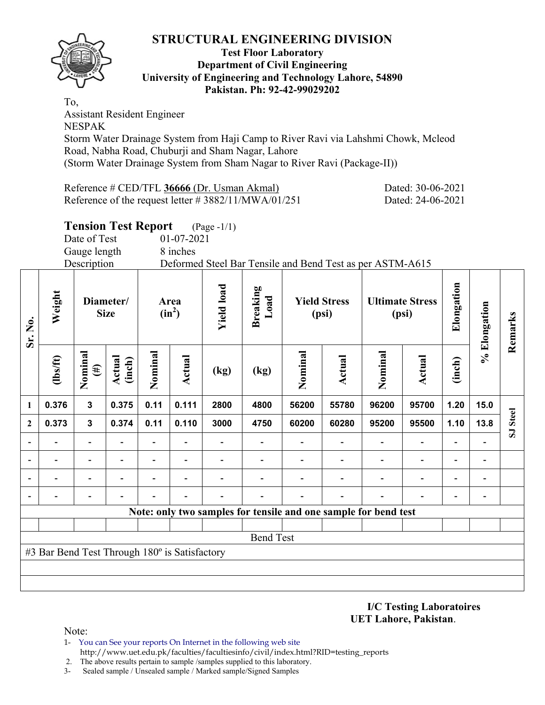

#### **Test Floor Laboratory Department of Civil Engineering University of Engineering and Technology Lahore, 54890 Pakistan. Ph: 92-42-99029202**

To, Assistant Resident Engineer NESPAK Storm Water Drainage System from Haji Camp to River Ravi via Lahshmi Chowk, Mcleod Road, Nabha Road, Chuburji and Sham Nagar, Lahore

(Storm Water Drainage System from Sham Nagar to River Ravi (Package-II))

| Reference # CED/TFL 36666 (Dr. Usman Akmal)            | Dated: 30-06-2021 |
|--------------------------------------------------------|-------------------|
| Reference of the request letter # $3882/11/MWA/01/251$ | Dated: 24-06-2021 |

# **Tension Test Report** (Page -1/1)

Date of Test 01-07-2021

Gauge length 8 inches

Description Deformed Steel Bar Tensile and Bend Test as per ASTM-A615

| Sr. No.        | Weight                                        | Diameter/<br><b>Size</b> |                  | Area<br>$(in^2)$ |                          | <b>Yield load</b> | <b>Breaking</b><br>Load                                         | <b>Yield Stress</b><br>(psi) |        | <b>Ultimate Stress</b><br>(psi) |                          | Elongation               | % Elongation             | Remarks  |
|----------------|-----------------------------------------------|--------------------------|------------------|------------------|--------------------------|-------------------|-----------------------------------------------------------------|------------------------------|--------|---------------------------------|--------------------------|--------------------------|--------------------------|----------|
|                | (1bs/ft)                                      | Nominal<br>$(\#)$        | Actual<br>(inch) | Nominal          | Actual                   | (kg)              | (kg)                                                            | Nominal                      | Actual | Nominal                         | Actual                   | (inch)                   |                          |          |
| 1              | 0.376                                         | $\mathbf{3}$             | 0.375            | 0.11             | 0.111                    | 2800              | 4800                                                            | 56200                        | 55780  | 96200                           | 95700                    | 1.20                     | 15.0                     |          |
| $\mathbf{2}$   | 0.373                                         | $\mathbf{3}$             | 0.374            | 0.11             | 0.110                    | 3000              | 4750                                                            | 60200                        | 60280  | 95200                           | 95500                    | 1.10                     | 13.8                     | SJ Steel |
| $\blacksquare$ |                                               | $\overline{\phantom{0}}$ |                  |                  |                          |                   |                                                                 |                              |        |                                 | $\overline{\phantom{a}}$ | $\overline{\phantom{0}}$ |                          |          |
|                | -                                             | $\overline{\phantom{0}}$ |                  | Ξ.               | $\overline{\phantom{0}}$ |                   |                                                                 |                              |        | $\overline{\phantom{0}}$        | $\overline{\phantom{a}}$ | $\overline{\phantom{a}}$ | $\overline{\phantom{0}}$ |          |
|                |                                               |                          |                  |                  |                          |                   |                                                                 |                              |        |                                 | $\overline{\phantom{0}}$ | $\overline{\phantom{0}}$ |                          |          |
|                |                                               |                          |                  |                  |                          |                   |                                                                 |                              |        |                                 |                          | -                        |                          |          |
|                |                                               |                          |                  |                  |                          |                   | Note: only two samples for tensile and one sample for bend test |                              |        |                                 |                          |                          |                          |          |
|                |                                               |                          |                  |                  |                          |                   |                                                                 |                              |        |                                 |                          |                          |                          |          |
|                |                                               |                          |                  |                  |                          |                   | <b>Bend Test</b>                                                |                              |        |                                 |                          |                          |                          |          |
|                | #3 Bar Bend Test Through 180° is Satisfactory |                          |                  |                  |                          |                   |                                                                 |                              |        |                                 |                          |                          |                          |          |
|                |                                               |                          |                  |                  |                          |                   |                                                                 |                              |        |                                 |                          |                          |                          |          |
|                |                                               |                          |                  |                  |                          |                   |                                                                 |                              |        |                                 |                          |                          |                          |          |

#### **I/C Testing Laboratoires UET Lahore, Pakistan**.

Note:

- 1- You can See your reports On Internet in the following web site http://www.uet.edu.pk/faculties/facultiesinfo/civil/index.html?RID=testing\_reports
- 2. The above results pertain to sample /samples supplied to this laboratory.
- 3- Sealed sample / Unsealed sample / Marked sample/Signed Samples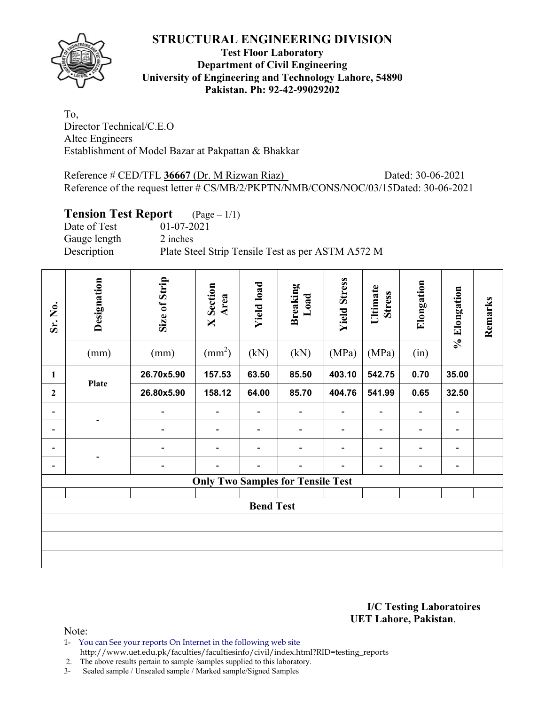

### **Test Floor Laboratory Department of Civil Engineering University of Engineering and Technology Lahore, 54890 Pakistan. Ph: 92-42-99029202**

To, Director Technical/C.E.O Altec Engineers Establishment of Model Bazar at Pakpattan & Bhakkar

Reference # CED/TFL 36667 (Dr. M Rizwan Riaz) Dated: 30-06-2021 Reference of the request letter # CS/MB/2/PKPTN/NMB/CONS/NOC/03/15Dated: 30-06-2021

## **Tension Test Report** (Page – 1/1)

| Date of Test | $01-07-2021$                                      |
|--------------|---------------------------------------------------|
| Gauge length | 2 inches                                          |
| Description  | Plate Steel Strip Tensile Test as per ASTM A572 M |

| Sr. No.                      | Designation<br>(mm) | Size of Strip<br>(mm) | <b>X</b> Section<br>Area<br>$\text{(mm}^2)$ | <b>Yield load</b><br>(kN)    | <b>Breaking</b><br>Load<br>(kN)          | <b>Yield Stress</b><br>(MPa) | Ultimate<br><b>Stress</b><br>(MPa) | Elongation<br>(in)           | % Elongation             | Remarks |  |
|------------------------------|---------------------|-----------------------|---------------------------------------------|------------------------------|------------------------------------------|------------------------------|------------------------------------|------------------------------|--------------------------|---------|--|
| 1                            | <b>Plate</b>        | 26.70x5.90            | 157.53                                      | 63.50                        | 85.50                                    | 403.10                       | 542.75                             | 0.70                         | 35.00                    |         |  |
| $\mathbf{2}$                 |                     | 26.80x5.90            | 158.12                                      | 64.00                        | 85.70                                    | 404.76                       | 541.99                             | 0.65                         | 32.50                    |         |  |
| $\qquad \qquad \blacksquare$ |                     |                       | $\qquad \qquad \blacksquare$                | $\qquad \qquad \blacksquare$ | -                                        |                              |                                    | $\qquad \qquad \blacksquare$ | $\overline{\phantom{a}}$ |         |  |
| $\qquad \qquad \blacksquare$ |                     |                       | $\qquad \qquad \blacksquare$                | $\qquad \qquad \blacksquare$ |                                          |                              |                                    | $\overline{a}$               | $\overline{\phantom{a}}$ |         |  |
|                              |                     |                       |                                             | $\overline{a}$               |                                          |                              | $\qquad \qquad \blacksquare$       | $\overline{a}$               | -                        |         |  |
| $\qquad \qquad \blacksquare$ |                     | ٠                     |                                             |                              | $\overline{\phantom{0}}$                 |                              |                                    | $\overline{a}$               | $\overline{\phantom{a}}$ |         |  |
|                              |                     |                       |                                             |                              | <b>Only Two Samples for Tensile Test</b> |                              |                                    |                              |                          |         |  |
|                              | <b>Bend Test</b>    |                       |                                             |                              |                                          |                              |                                    |                              |                          |         |  |
|                              |                     |                       |                                             |                              |                                          |                              |                                    |                              |                          |         |  |
|                              |                     |                       |                                             |                              |                                          |                              |                                    |                              |                          |         |  |
|                              |                     |                       |                                             |                              |                                          |                              |                                    |                              |                          |         |  |

#### **I/C Testing Laboratoires UET Lahore, Pakistan**.

Note:

1- You can See your reports On Internet in the following web site http://www.uet.edu.pk/faculties/facultiesinfo/civil/index.html?RID=testing\_reports

2. The above results pertain to sample /samples supplied to this laboratory.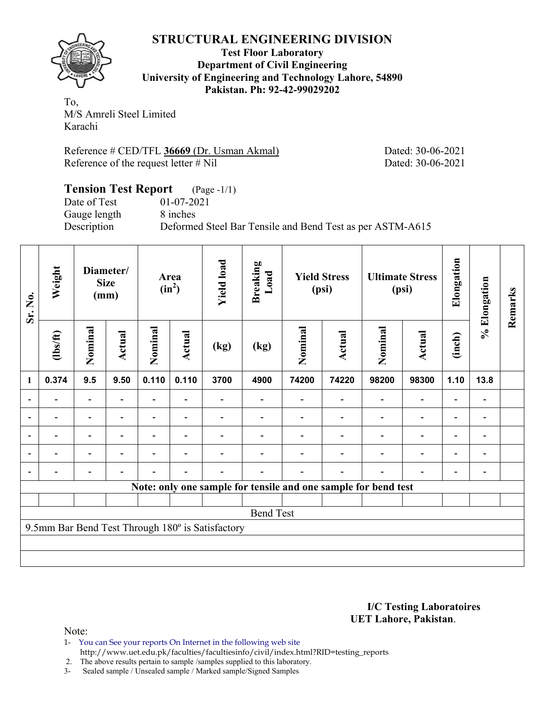

**Test Floor Laboratory Department of Civil Engineering University of Engineering and Technology Lahore, 54890 Pakistan. Ph: 92-42-99029202** 

To, M/S Amreli Steel Limited Karachi

Reference # CED/TFL **36669** (Dr. Usman Akmal) Dated: 30-06-2021 Reference of the request letter # Nil Dated: 30-06-2021

### **Tension Test Report** (Page -1/1) Date of Test 01-07-2021<br>Gauge length 8 inches Gauge length Description Deformed Steel Bar Tensile and Bend Test as per ASTM-A615

| Sr. No.        | Weight                                                         |                          | Diameter/<br><b>Size</b><br>(mm) |         | Area<br>$(in^2)$         | <b>Yield load</b>                                | <b>Breaking</b><br>Load |         | <b>Yield Stress</b><br>(psi) |         | <b>Ultimate Stress</b><br>(psi) | Elongation | % Elongation | Remarks |
|----------------|----------------------------------------------------------------|--------------------------|----------------------------------|---------|--------------------------|--------------------------------------------------|-------------------------|---------|------------------------------|---------|---------------------------------|------------|--------------|---------|
|                | $\frac{2}{10}$                                                 | Nominal                  | Actual                           | Nominal | Actual                   | (kg)                                             | (kg)                    | Nominal | <b>Actual</b>                | Nominal | <b>Actual</b>                   | (inch)     |              |         |
| 1              | 0.374                                                          | 9.5                      | 9.50                             | 0.110   | 0.110                    | 3700                                             | 4900                    | 74200   | 74220                        | 98200   | 98300                           | 1.10       | 13.8         |         |
| $\blacksquare$ | $\blacksquare$                                                 | $\overline{\phantom{a}}$ | $\blacksquare$                   | Ξ.      | $\blacksquare$           |                                                  |                         |         |                              |         | $\overline{\phantom{0}}$        |            | -            |         |
|                |                                                                |                          |                                  |         |                          |                                                  |                         |         |                              |         |                                 |            | -            |         |
| $\overline{a}$ |                                                                | -                        |                                  |         | $\overline{\phantom{0}}$ |                                                  |                         |         |                              |         |                                 |            | -            |         |
| $\blacksquare$ | -                                                              | -                        | $\blacksquare$                   | -       | $\overline{\phantom{a}}$ |                                                  |                         |         |                              |         | $\blacksquare$                  | ۰          | Ξ.           |         |
|                |                                                                | -                        |                                  |         | $\overline{\phantom{0}}$ |                                                  |                         |         |                              |         |                                 |            | -            |         |
|                | Note: only one sample for tensile and one sample for bend test |                          |                                  |         |                          |                                                  |                         |         |                              |         |                                 |            |              |         |
|                |                                                                |                          |                                  |         |                          |                                                  |                         |         |                              |         |                                 |            |              |         |
|                |                                                                |                          |                                  |         |                          |                                                  | <b>Bend Test</b>        |         |                              |         |                                 |            |              |         |
|                |                                                                |                          |                                  |         |                          | 9.5mm Bar Bend Test Through 180° is Satisfactory |                         |         |                              |         |                                 |            |              |         |
|                |                                                                |                          |                                  |         |                          |                                                  |                         |         |                              |         |                                 |            |              |         |
|                |                                                                |                          |                                  |         |                          |                                                  |                         |         |                              |         |                                 |            |              |         |

**I/C Testing Laboratoires UET Lahore, Pakistan**.

Note:

1- You can See your reports On Internet in the following web site http://www.uet.edu.pk/faculties/facultiesinfo/civil/index.html?RID=testing\_reports

2. The above results pertain to sample /samples supplied to this laboratory.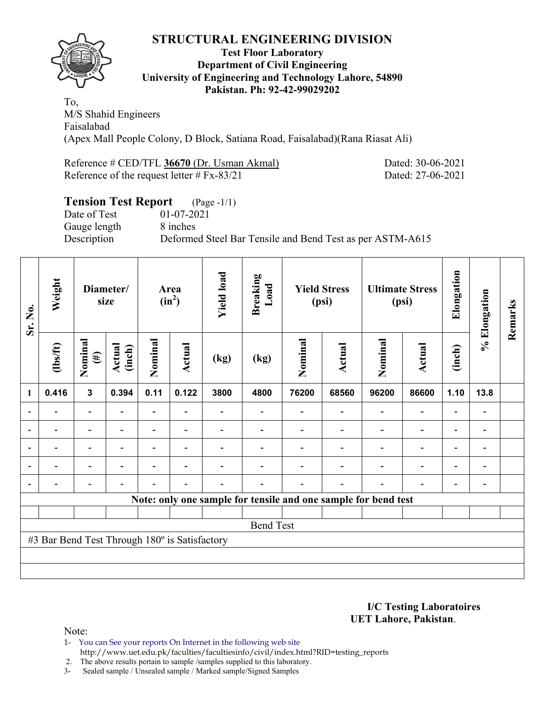

### **Test Floor Laboratory Department of Civil Engineering University of Engineering and Technology Lahore, 54890 Pakistan. Ph: 92-42-99029202**

To, M/S Shahid Engineers Faisalabad (Apex Mall People Colony, D Block, Satiana Road, Faisalabad)(Rana Riasat Ali)

Reference # CED/TFL **36670** (Dr. Usman Akmal) Dated: 30-06-2021 Reference of the request letter # Fx-83/21 Dated: 27-06-2021

# **Tension Test Report** (Page -1/1) Date of Test 01-07-2021 Gauge length 8 inches Description Deformed Steel Bar Tensile and Bend Test as per ASTM-A615

| Sr. No.        | Weight                                                         |                          | Diameter/<br>size        |                          | Area<br>$(in^2)$         | <b>Yield load</b> | <b>Breaking</b><br>Load |         | <b>Yield Stress</b><br>(psi) |                          | <b>Ultimate Stress</b><br>(psi) |                          | % Elongation                 | Remarks |
|----------------|----------------------------------------------------------------|--------------------------|--------------------------|--------------------------|--------------------------|-------------------|-------------------------|---------|------------------------------|--------------------------|---------------------------------|--------------------------|------------------------------|---------|
|                | $\frac{2}{10}$                                                 | Nominal<br>$(\#)$        | Actual<br>(inch)         | Nominal                  | Actual                   | (kg)              | (kg)                    | Nominal | Actual                       | Nominal                  | Actual                          | (inch)                   |                              |         |
| $\mathbf{1}$   | 0.416                                                          | $\mathbf{3}$             | 0.394                    | 0.11                     | 0.122                    | 3800              | 4800                    | 76200   | 68560                        | 96200                    | 86600                           | 1.10                     | 13.8                         |         |
|                |                                                                | $\overline{\phantom{0}}$ |                          | Ξ.                       |                          |                   |                         |         |                              |                          | $\overline{\phantom{0}}$        | $\overline{\phantom{0}}$ |                              |         |
| $\blacksquare$ |                                                                | Ξ.                       | $\blacksquare$           | $\overline{\phantom{0}}$ | $\overline{\phantom{0}}$ |                   |                         |         |                              | ÷                        | $\overline{a}$                  | $\overline{\phantom{0}}$ |                              |         |
|                |                                                                | $\overline{\phantom{0}}$ |                          |                          | $\overline{\phantom{0}}$ |                   |                         |         |                              |                          | $\overline{\phantom{0}}$        | $\overline{\phantom{0}}$ |                              |         |
| $\overline{a}$ | $\overline{\phantom{0}}$                                       | $\overline{\phantom{0}}$ | $\overline{\phantom{0}}$ |                          | $\overline{\phantom{a}}$ |                   |                         |         |                              | $\overline{\phantom{0}}$ | $\overline{\phantom{a}}$        | $\overline{\phantom{a}}$ | $\overline{\phantom{a}}$     |         |
| $\blacksquare$ |                                                                | $\overline{\phantom{0}}$ |                          |                          |                          |                   |                         |         |                              | $\blacksquare$           | $\overline{\phantom{0}}$        | $\overline{\phantom{a}}$ | $\qquad \qquad \blacksquare$ |         |
|                | Note: only one sample for tensile and one sample for bend test |                          |                          |                          |                          |                   |                         |         |                              |                          |                                 |                          |                              |         |
|                |                                                                |                          |                          |                          |                          |                   |                         |         |                              |                          |                                 |                          |                              |         |
|                |                                                                |                          |                          |                          |                          |                   | <b>Bend Test</b>        |         |                              |                          |                                 |                          |                              |         |
|                | #3 Bar Bend Test Through 180° is Satisfactory                  |                          |                          |                          |                          |                   |                         |         |                              |                          |                                 |                          |                              |         |
|                |                                                                |                          |                          |                          |                          |                   |                         |         |                              |                          |                                 |                          |                              |         |
|                |                                                                |                          |                          |                          |                          |                   |                         |         |                              |                          |                                 |                          |                              |         |

**I/C Testing Laboratoires UET Lahore, Pakistan**.

Note:

1- You can See your reports On Internet in the following web site http://www.uet.edu.pk/faculties/facultiesinfo/civil/index.html?RID=testing\_reports

2. The above results pertain to sample /samples supplied to this laboratory.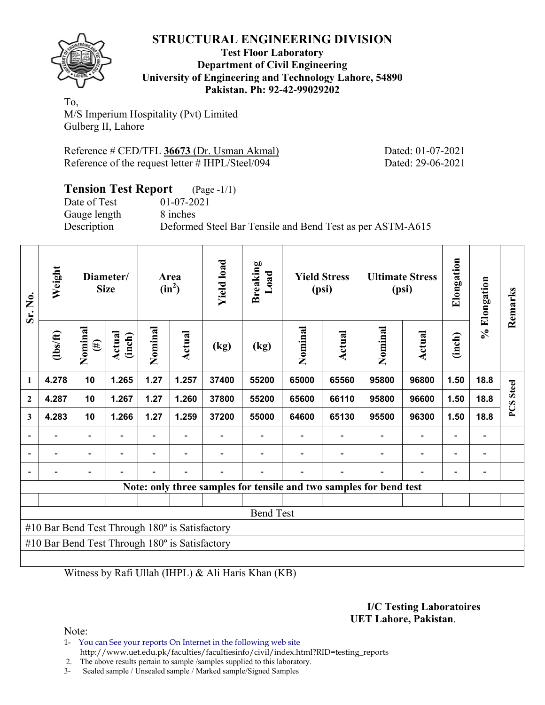

#### **Test Floor Laboratory Department of Civil Engineering University of Engineering and Technology Lahore, 54890 Pakistan. Ph: 92-42-99029202**

To, M/S Imperium Hospitality (Pvt) Limited Gulberg II, Lahore

| Reference # CED/TFL 36673 (Dr. Usman Akmal)      |  |  |
|--------------------------------------------------|--|--|
| Reference of the request letter # IHPL/Steel/094 |  |  |

Dated: 01-07-2021 Dated: 29-06-2021

| <b>Tension Test Report</b> (Page -1/1) |                                                           |
|----------------------------------------|-----------------------------------------------------------|
| Date of Test                           | $01-07-2021$                                              |
| Gauge length                           | 8 inches                                                  |
| Description                            | Deformed Steel Bar Tensile and Bend Test as per ASTM-A615 |

| Sr. No.        | Weight                                                |                   | Diameter/<br><b>Size</b> |                          | Area<br>$(in^2)$         | <b>Yield load</b> | <b>Breaking</b><br>Load                                            |         | <b>Yield Stress</b><br>(psi) | <b>Ultimate Stress</b><br>(psi) |                              | Elongation | % Elongation             | Remarks               |
|----------------|-------------------------------------------------------|-------------------|--------------------------|--------------------------|--------------------------|-------------------|--------------------------------------------------------------------|---------|------------------------------|---------------------------------|------------------------------|------------|--------------------------|-----------------------|
|                | $\frac{2}{10}$                                        | Nominal<br>$(\#)$ | Actual<br>(inch)         | Nominal                  | <b>Actual</b>            | (kg)              | (kg)                                                               | Nominal | <b>Actual</b>                | Nominal                         | <b>Actual</b>                | (inch)     |                          |                       |
| $\mathbf{1}$   | 4.278                                                 | 10                | 1.265                    | 1.27                     | 1.257                    | 37400             | 55200                                                              | 65000   | 65560                        | 95800                           | 96800                        | 1.50       | 18.8                     | <b>Steel</b>          |
| $\mathbf{2}$   | 4.287                                                 | 10                | 1.267                    | 1.27                     | 1.260                    | 37800             | 55200                                                              | 65600   | 66110                        | 95800                           | 96600                        | 1.50       | 18.8                     | $\boldsymbol{\omega}$ |
| 3              | 4.283                                                 | 10                | 1.266                    | 1.27                     | 1.259                    | 37200             | 55000                                                              | 64600   | 65130                        | 95500                           | 96300                        | 1.50       | 18.8                     | $\mathbf{C}$          |
|                | -                                                     | -                 |                          | $\overline{\phantom{0}}$ | $\overline{\phantom{a}}$ |                   |                                                                    |         |                              |                                 | $\qquad \qquad \blacksquare$ |            | $\overline{\phantom{0}}$ |                       |
|                |                                                       |                   |                          |                          |                          |                   |                                                                    |         |                              |                                 |                              |            |                          |                       |
| $\overline{a}$ |                                                       | -                 |                          |                          |                          |                   |                                                                    |         |                              |                                 |                              |            |                          |                       |
|                |                                                       |                   |                          |                          |                          |                   | Note: only three samples for tensile and two samples for bend test |         |                              |                                 |                              |            |                          |                       |
|                |                                                       |                   |                          |                          |                          |                   |                                                                    |         |                              |                                 |                              |            |                          |                       |
|                |                                                       |                   |                          |                          |                          |                   | <b>Bend Test</b>                                                   |         |                              |                                 |                              |            |                          |                       |
|                | #10 Bar Bend Test Through $180^\circ$ is Satisfactory |                   |                          |                          |                          |                   |                                                                    |         |                              |                                 |                              |            |                          |                       |
|                | #10 Bar Bend Test Through $180^\circ$ is Satisfactory |                   |                          |                          |                          |                   |                                                                    |         |                              |                                 |                              |            |                          |                       |
|                |                                                       |                   |                          |                          |                          |                   |                                                                    |         |                              |                                 |                              |            |                          |                       |

Witness by Rafi Ullah (IHPL) & Ali Haris Khan (KB)

#### **I/C Testing Laboratoires UET Lahore, Pakistan**.

Note:

1- You can See your reports On Internet in the following web site http://www.uet.edu.pk/faculties/facultiesinfo/civil/index.html?RID=testing\_reports

2. The above results pertain to sample /samples supplied to this laboratory.